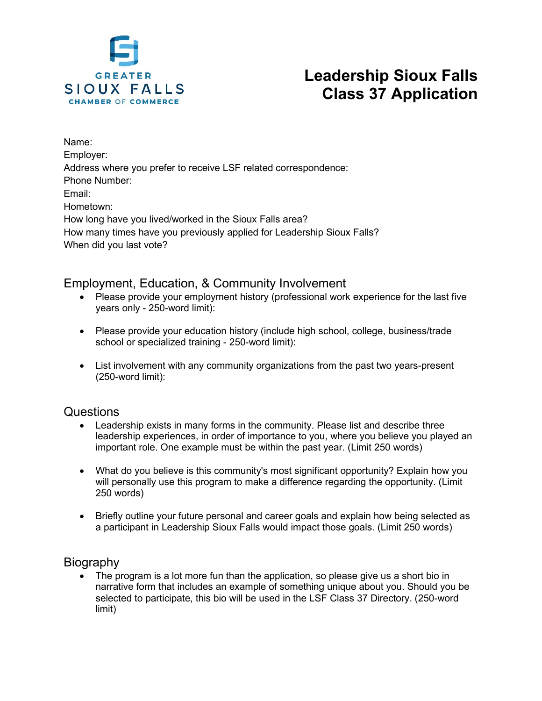

# **Leadership Sioux Falls Class 37 Application**

Name: Employer: Address where you prefer to receive LSF related correspondence: Phone Number: Email: Hometown: How long have you lived/worked in the Sioux Falls area? How many times have you previously applied for Leadership Sioux Falls? When did you last vote?

## Employment, Education, & Community Involvement

- Please provide your employment history (professional work experience for the last five years only - 250-word limit):
- Please provide your education history (include high school, college, business/trade school or specialized training - 250-word limit):
- List involvement with any community organizations from the past two years-present (250-word limit):

#### Questions

- Leadership exists in many forms in the community. Please list and describe three leadership experiences, in order of importance to you, where you believe you played an important role. One example must be within the past year. (Limit 250 words)
- What do you believe is this community's most significant opportunity? Explain how you will personally use this program to make a difference regarding the opportunity. (Limit 250 words)
- Briefly outline your future personal and career goals and explain how being selected as a participant in Leadership Sioux Falls would impact those goals. (Limit 250 words)

## **Biography**

• The program is a lot more fun than the application, so please give us a short bio in narrative form that includes an example of something unique about you. Should you be selected to participate, this bio will be used in the LSF Class 37 Directory. (250-word limit)